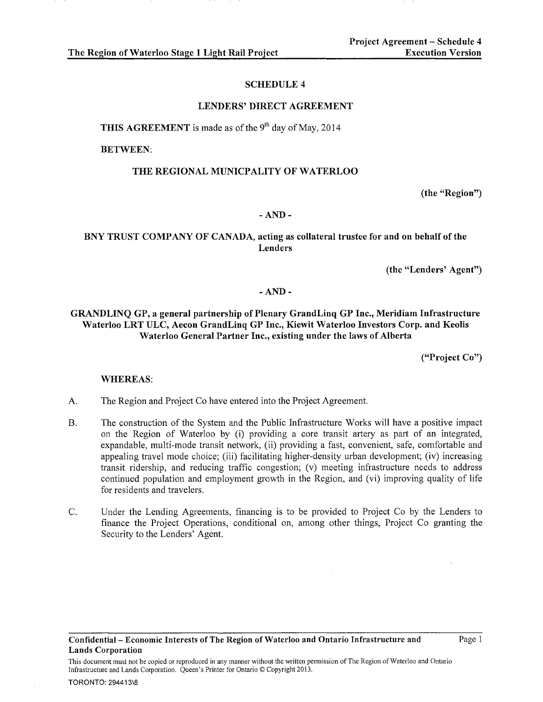The Region of Waterloo Stage 1 Light Rail Project

#### SCHEDULE 4

#### LENDERS' DIRECT AGREEMENT

THIS AGREEMENT is made as of the  $9<sup>th</sup>$  day of May, 2014

BETWEEN:

#### THE REGIONAL MUNICPALITY OF WATERLOO

(the "Region")

#### -AND-

# BNY TRUST COMPANY OF CANADA, acting as collateral trustee for and on behalf of the Lenders

(the "Lenders' Agent")

#### -AND-

GRANDLINQ GP, a general partnership of Plenary GrandLinq GP Inc., Meridiam Infrastructure Waterloo LRT ULC, Aecon GrandLinq GP Inc., Kiewit Waterloo Investors Corp. and Keolis Waterloo General Partner Inc., existing under the laws of Alberta

("Project Co")

## WHEREAS:

- A. The Region and Project Co have entered into the Project Agreement.
- B. The construction of the System and the Public Infrastructure Works will have a positive impact on the Region of Waterloo by (i) providing a core transit artery as part of an integrated, expandable, multi-mode transit network, (ii) providing a fast, convenient, safe, comfortable and appealing travel mode choice; (iii) facilitating higher-density urban development; (iv) increasing transit ridership, and reducing traffic congestion; (v) meeting infrastructure needs to address continued population and employment growth in the Region, and (vi) improving quality of life for residents and travelers.
- C. Under the Lending Agreements, financing is to be provided to Project Co by the Lenders to finance the Project Operations, conditional on, among other things, Project Co granting the Security to the Lenders' Agent.

Confidential- Economic Interests of The Region of Waterloo and Ontario Infrastructure and Lands Corporation

This document must not be copied or reproduced in any manner without the written permission of The Region of Waterloo and Ontario Infrastructure and Lands Corporation. Queen's Printer for Ontario© Copyright 2013.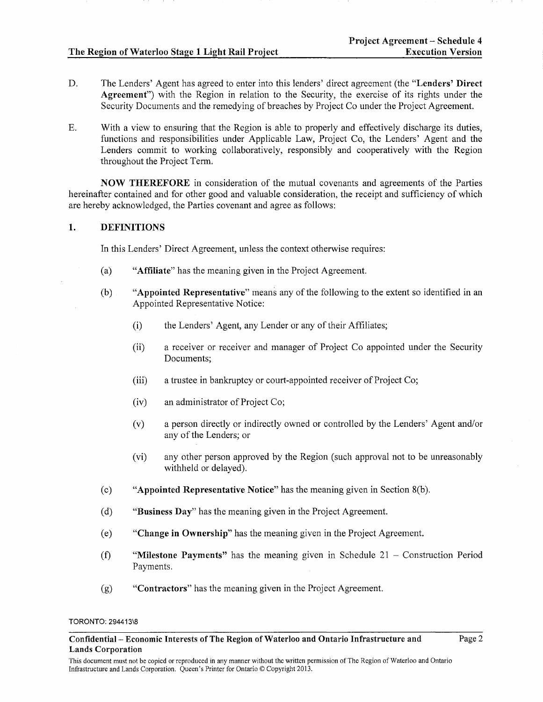# The Region of Waterloo Stage 1 Light Rail Project

- D. The Lenders' Agent has agreed to enter into this lenders' direct agreement (the "Lenders' Direct Agreement") with the Region in relation to the Security, the exercise of its rights under the Security Documents and the remedying of breaches by Project Co under the Project Agreement.
- E. With a view to ensuring that the Region is able to properly and effectively discharge its duties, functions and responsibilities under Applicable Law, Project Co, the Lenders' Agent and the Lenders commit to working collaboratively, responsibly and cooperatively with the Region throughout the Project Term.

NOW THEREFORE in consideration of the mutual covenants and agreements of the Parties hereinafter contained and for other good and valuable consideration, the receipt and sufficiency of which are hereby acknowledged, the Parties covenant and agree as follows:

## 1. DEFINITIONS

In this Lenders' Direct Agreement, unless the context otherwise requires:

- (a) "Affiliate" has the meaning given in the Project Agreement.
- (b) "Appointed Representative" means any of the following to the extent so identified in an Appointed Representative Notice:
	- (i) the Lenders' Agent, any Lender or any of their Affiliates;
	- (ii) a receiver or receiver and manager of Project Co appointed under the Security Documents;
	- $(iii)$  a trustee in bankruptcy or court-appointed receiver of Project Co;
	- (iv) an administrator of Project Co;
	- (v) a person directly or indirectly owned or controlled by the Lenders' Agent and/or any of the Lenders; or
	- (vi) any other person approved by the Region (such approval not to be unreasonably withheld or delayed).
- (c) "Appointed Representative Notice" has the meaning given in Section  $8(b)$ .
- (d) "Business Day" has the meaning given in the Project Agreement.
- (e) "Change in Ownership" has the meaning given in the Project Agreement.
- (f) "Milestone Payments" has the meaning given in Schedule  $21 -$  Construction Period Payments.
- (g) "Contractors" has the meaning given in the Project Agreement.

Confidential- Economic Interests of The Region of Waterloo and Ontario Infrastructure and Lands Corporation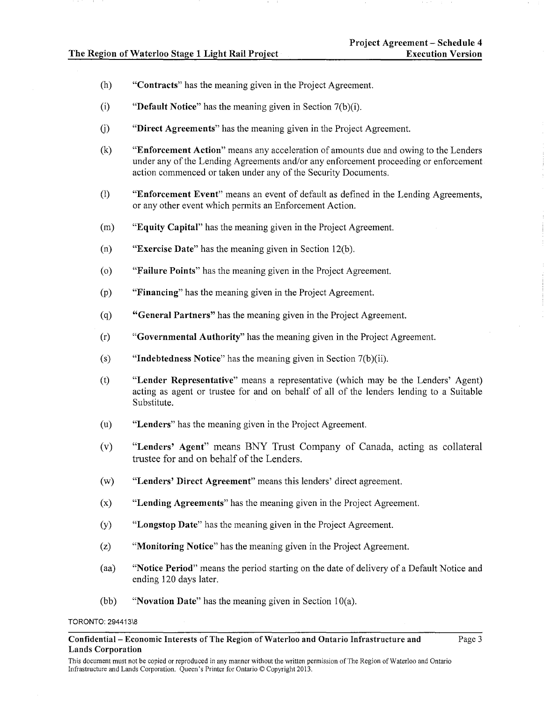- (h) "Contracts" has the meaning given in the Project Agreement.
- (i) "Default Notice" has the meaning given in Section  $7(b)(i)$ .
- (j) "Direct Agreements" has the meaning given in the Project Agreement.
- (k) "Enforcement Action" means any acceleration of amounts due and owing to the Lenders under any of the Lending Agreements and/or any enforcement proceeding or enforcement action commenced or taken under any of the Security Documents.
- (1) "Enforcement Event" means an event of default as defined in the Lending Agreements, or any other event which permits an Enforcement Action.
- (m) "Equity Capital" has the meaning given in the Project Agreement.
- (n) "Exercise Date" has the meaning given in Section 12(b).
- ( o) "Failure Points" has the meaning given in the Project Agreement.
- (p) "Financing" has the meaning given in the Project Agreement.
- (q) "General Partners" has the meaning given in the Project Agreement.
- (r) "Governmental Authority" has the meaning given in the Project Agreement.
- (s) "Indebtedness Notice" has the meaning given in Section  $7(b)(ii)$ .
- (t) "Lender Representative" means a representative (which may be the Lenders' Agent) acting as agent or trustee for and on behalf of all of the lenders lending to a Suitable Substitute.
- (u) "Lenders" has the meaning given in the Project Agreement.
- (v) "Lenders' Agent" means BNY Trust Company of Canada, acting as collateral trustee for and on behalf of the Lenders.
- (w) "Lenders' Direct Agreement" means this lenders' direct agreement.
- (x) "Lending Agreements" has the meaning given in the Project Agreement.
- (y) "Longstop Date" has the meaning given in the Project Agreement.
- (z) "Monitoring Notice" has the meaning given in the Project Agreement.
- (aa) "Notice Period" means the period starting on the date of delivery of a Default Notice and ending 120 days later.
- (bb) "Novation Date" has the meaning given in Section 10(a).

#### Confidential- Economic Interests of The Region of Waterloo and Ontario Infrastructure and Lands Corporation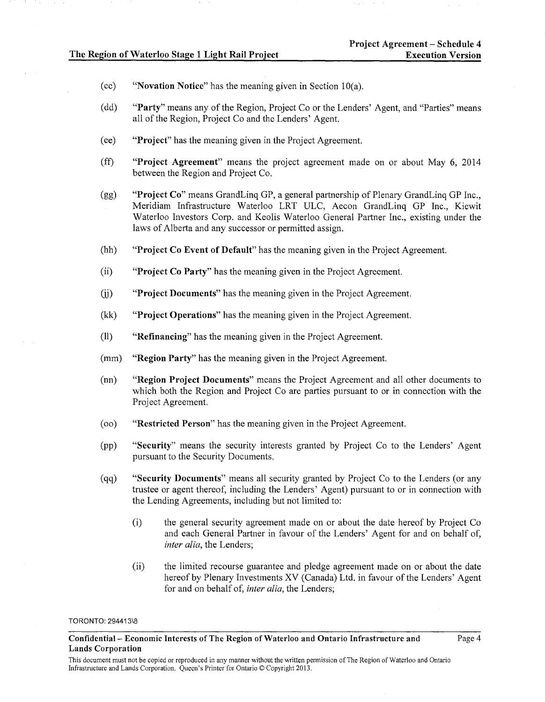- (cc) "Novation Notice" has the meaning given in Section lO(a).
- (dd) "Party" means any of the Region, Project Co or the Lenders' Agent, and "Parties" means all of the Region, Project Co and the Lenders' Agent.
- ( ee) "Project" has the meaning given in the Project Agreement.
- (ff) "Project Agreement" means the project agreement made on or about May 6, 2014 between the Region and Project Co.
- (gg) "Project Co" means GrandLinq GP, a general partnership of Plenary GrandLinq GP Inc., Meridiam Infrastructure Waterloo LRT ULC, Aecon GrandLinq GP Inc., Kiewit Waterloo Investors Corp. and Keolis Waterloo General Partner Inc., existing under the laws of Alberta and any successor or permitted assign.
- (hh) "Project Co Event of Default" has the meaning given in the Project Agreement.
- (ii) "Project Co Party" has the meaning given in the Project Agreement.
- (jj) "Project Documents" has the meaning given in the Project Agreement.
- (kk) "Project Operations" has the meaning given in the Project Agreement.
- (11) "Refinancing" has the meaning given in the Project Agreement.
- (mm) "Region Party" has the meaning given in the Project Agreement.
- (nn) "Region Project Documents" means the Project Agreement and all other documents to which both the Region and Project Co are parties pursuant to or in connection with the Project Agreement.
- ( oo) "Restricted Person" has the meaning given in the Project Agreement.
- (pp) "Security" means the security interests granted by Project Co to the Lenders' Agent pursuant to the Security Documents.
- (qq) "Security Documents" means all security granted by Project Co to the Lenders (or any trustee or agent thereof, including the Lenders' Agent) pursuant to or in connection with the Lending Agreements, including but not limited to:
	- (i) the general security agreement made on or about the date hereof by Project Co and each General Partner in favour of the Lenders' Agent for and on behalf of, *inter alia,* the Lenders;
	- (ii) the limited recourse guarantee and pledge agreement made on or about the date hereof by Plenary Investments XV (Canada) Ltd. in favour of the Lenders' Agent for and on behalf of, *inter alia,* the Lenders;

Confidential- Economic Interests of The Region of Waterloo and Ontario Infrastructure and Lands Corporation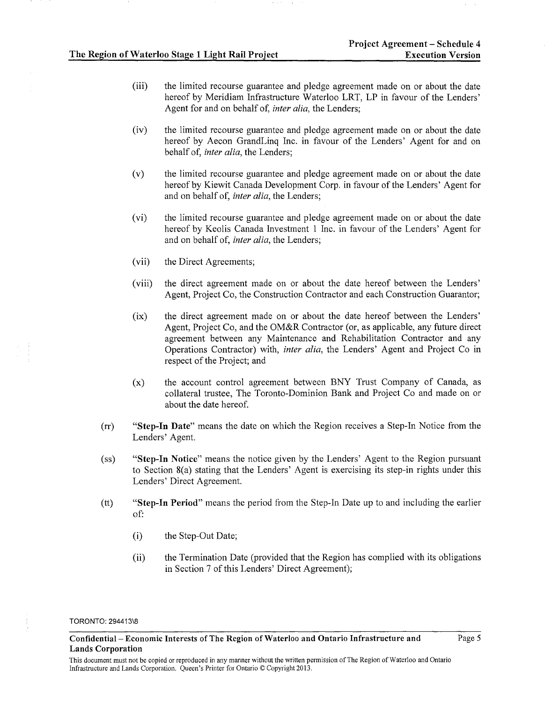- (iii) the limited recourse guarantee and pledge agreement made on or about the date hereof by Meridiam Infrastructure Waterloo LRT, LP in favour of the Lenders' Agent for and on behalf of, *inter alia,* the Lenders;
- (iv) the limited recourse guarantee and pledge agreement made on or about the date hereof by Aecon GrandLinq Inc. in favour of the Lenders' Agent for and on behalf of, *inter alia,* the Lenders;
- (v) the limited recourse guarantee and pledge agreement made on or about the date hereof by Kiewit Canada Development Corp. in favour of the Lenders' Agent for and on behalf of, *inter alia,* the Lenders;
- (vi) the limited recourse guarantee and pledge agreement made on or about the date hereof by Keolis Canada Investment 1 Inc. in favour of the Lenders' Agent for and on behalf of, *inter alia,* the Lenders;
- (vii) the Direct Agreements;
- (viii) the direct agreement made on or about the date hereof between the Lenders' Agent, Project Co, the Construction Contractor and each Construction Guarantor;
- (ix) the direct agreement made on or about the date hereof between the Lenders' Agent, Project Co, and the OM&R Contractor (or, as applicable, any future direct agreement between any Maintenance and Rehabilitation Contractor and any Operations Contractor) with, *inter alia,* the Lenders' Agent and Project Co in respect of the Project; and
- (x) the account control agreement between BNY Trust Company of Canada, as collateral trustee, The Toronto-Dominion Bank and Project Co and made on or about the date hereof.
- (rr) "Step-In Date" means the date on which the Region receives a Step-In Notice from the Lenders' Agent.
- (ss) "Step-In Notice" means the notice given by the Lenders' Agent to the Region pursuant to Section S(a) stating that the Lenders' Agent is exercising its step-in rights under this Lenders' Direct Agreement.
- (tt) "Step-In Period" means the period from the Step-In Date up to and including the earlier of:
	- (i) the Step-Out Date;
	- (ii) the Termination Date (provided that the Region has complied with its obligations in Section 7 of this Lenders' Direct Agreement);

Confidential- Economic Interests of The Region of Waterloo and Ontario Infrastructure and Lands Corporation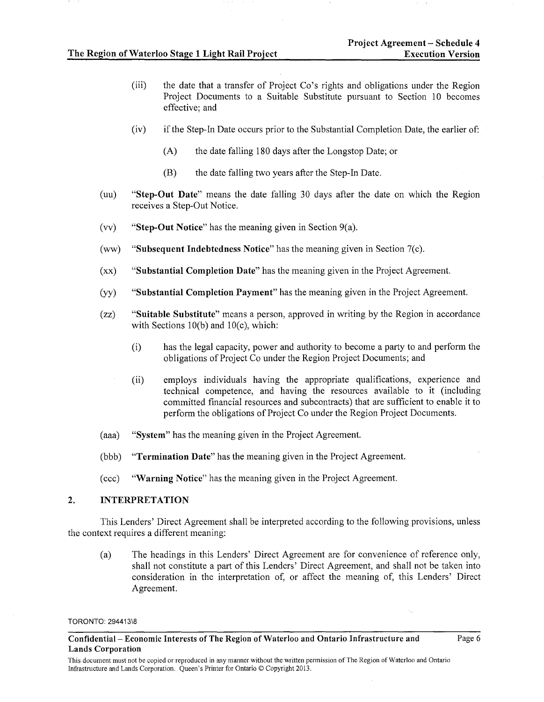- (iii) the date that a transfer of Project Co's rights and obligations under the Region Project Documents to a Suitable Substitute pursuant to Section 10 becomes effective; and
- (iv) if the Step-In Date occurs prior to the Substantial Completion Date, the earlier of:
	- (A) the date falling 180 days after the Longstop Date; or
	- (B) the date falling two years after the Step-In Date.
- (uu) "Step-Out Date" means the date falling 30 days after the date on which the Region receives a Step-Out Notice.
- (vv) "Step-Out Notice" has the meaning given in Section 9(a).
- (ww) "Subsequent Indebtedness Notice" has the meaning given in Section 7(c).
- (xx) "Substantial Completion Date" has the meaning given in the Project Agreement.
- (yy) "Substantial Completion Payment" has the meaning given in the Project Agreement.
- (zz) "Suitable Substitute" means a person, approved in writing by the Region in accordance with Sections  $10(b)$  and  $10(c)$ , which:
	- (i) has the legal capacity, power and authority to become a party to and perform the obligations of Project Co under the Region Project Documents; and
	- (ii) employs individuals having the appropriate qualifications, experience and technical competence, and having the resources available to it (including committed financial resources and subcontracts) that are sufficient to enable it to perform the obligations of Project Co under the Region Project Documents.
- (aaa) "System" has the meaning given in the Project Agreement.
- (bbb) "Termination Date" has the meaning given in the Project Agreement.
- (ccc) "Warning Notice" has the meaning given in the Project Agreement.

# 2. INTERPRETATION

This Lenders' Direct Agreement shall be interpreted according to the following provisions, unless the context requires a different meaning:

(a) The headings in this Lenders' Direct Agreement are for convenience of reference only, shall not constitute a part of this Lenders' Direct Agreement, and shall not be taken into consideration in the interpretation of, or affect the meaning of, this Lenders' Direct Agreement.

TORONTO: 294413\8

Confidential- Economic Interests of The Region of Waterloo and Ontario Infrastructure and Lands Corporation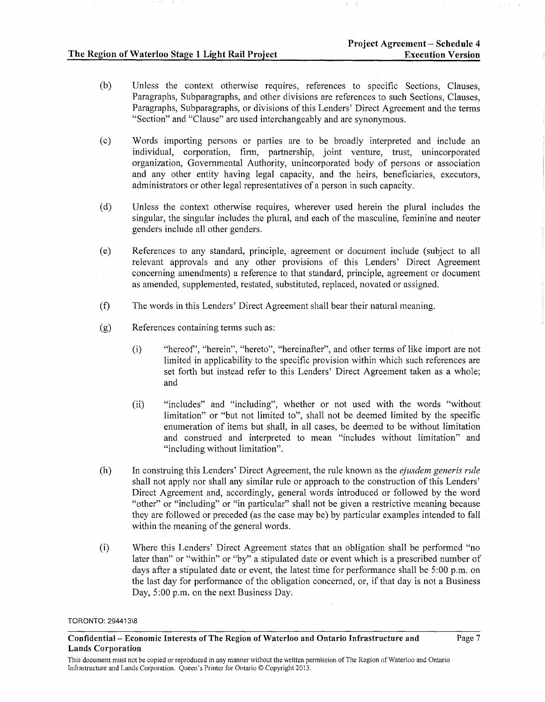- (b) Unless the context otherwise requires, references to specific Sections, Clauses, Paragraphs, Subparagraphs, and other divisions are references to such Sections, Clauses, Paragraphs, Subparagraphs, or divisions of this Lenders' Direct Agreement and the terms "Section" and "Clause" are used interchangeably and are synonymous.
- (c) Words importing persons or parties are to be broadly interpreted and include an individual, corporation, firm, partnership, joint venture, trust, unincorporated organization, Governmental Authority, unincorporated body of persons or association and any other entity having legal capacity, and the heirs, beneficiaries, executors, administrators or other legal representatives of a person in such capacity.
- (d) Unless the context otherwise requires, wherever used herein the plural includes the singular, the singular includes the plural, and each of the masculine, feminine and neuter genders include all other genders.
- (e) References to any standard, principle, agreement or document include (subject to all relevant approvals and any other provisions of this Lenders' Direct Agreement concerning amendments) a reference to that standard, principle, agreement or document as amended, supplemented, restated, substituted, replaced, novated or assigned.
- (f) The words in this Lenders' Direct Agreement shall bear their natural meaning.
- (g) References containing terms such as:
	- (i) "hereof', "herein", "hereto", "hereinafter", and other terms of like import are not limited in applicability to the specific provision within which such references are set forth but instead refer to this Lenders' Direct Agreement taken as a whole; and
	- (ii) "includes" and "including", whether or not used with the words "without limitation" or "but not limited to", shall not be deemed limited by the specific enumeration of items but shall, in all cases, be deemed to be without limitation and construed and interpreted to mean "includes without limitation" and "including without limitation".
- (h) In construing this Lenders' Direct Agreement, the rule known as the *ejusdem generis rule*  shall not apply nor shall any similar rule or approach to the construction of this Lenders' Direct Agreement and, accordingly, general words introduced or followed by the word "other" or "including" or "in particular" shall not be given a restrictive meaning because they are followed or preceded (as the case may be) by particular examples intended to fall within the meaning of the general words.
- (i) Where this Lenders' Direct Agreement states that an obligation shall be performed "no later than" or "within" or "by" a stipulated date or event which is a prescribed number of days after a stipulated date or event, the latest time for performance shall be  $5:00$  p.m. on the last day for performance of the obligation concerned, or, if that day is not a Business Day, 5:00 p.m. on the next Business Day.

Confidential- Economic Interests of The Region of Waterloo and Ontario Infrastructure and Lands Corporation

This document must not be copied or reproduced in any manner without the written permission of The Region of Waterloo and Ontario Infrastructure and Lands Corporation. Queen's Printer for Ontario© Copyright 2013.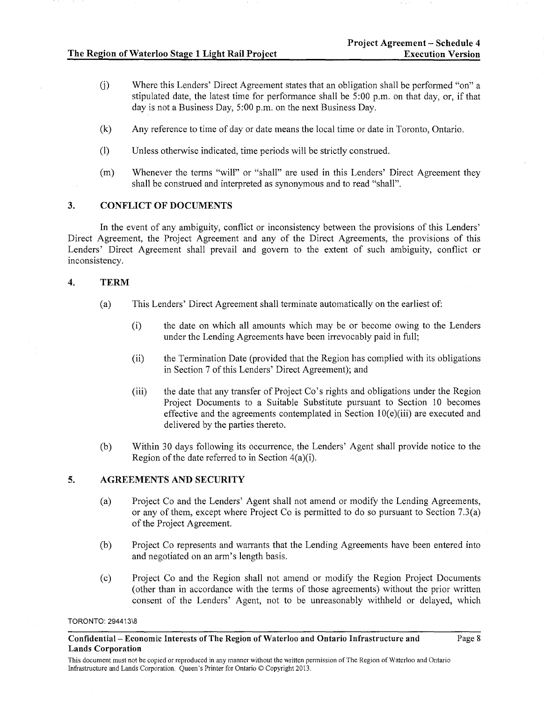- (j) Where this Lenders' Direct Agreement states that an obligation shall be performed "on" a stipulated date, the latest time for performance shall be  $\overline{5:00}$  p.m. on that day, or, if that day is not a Business Day,  $5:00$  p.m. on the next Business Day.
- (k) Any reference to time of day or date means the local time or date in Toronto, Ontario.
- (l) Unless otherwise indicated, time periods will be strictly construed.
- (m) Whenever the terms "will" or "shall" are used in this Lenders' Direct Agreement they shall be construed and interpreted as synonymous and to read "shall".

# 3. CONFLICT OF DOCUMENTS

In the event of any ambiguity, conflict or inconsistency between the provisions of this Lenders' Direct Agreement, the Project Agreement and any of the Direct Agreements, the provisions of this Lenders' Direct Agreement shall prevail and govern to the extent of such ambiguity, conflict or inconsistency.

# 4. TERM

- (a) This Lenders' Direct Agreement shall terminate automatically on the earliest of:
	- (i) the date on which all amounts which may be or become owing to the Lenders under the Lending Agreements have been irrevocably paid in full;
	- (ii) the Termination Date (provided that the Region has complied with its obligations in Section 7 of this Lenders' Direct Agreement); and
	- (iii) the date that any transfer of Project Co's rights and obligations under the Region Project Documents to a Suitable Substitute pursuant to Section 10 becomes effective and the agreements contemplated in Section  $10(e)(iii)$  are executed and delivered by the parties thereto.
- (b) Within 30 days following its occurrence, the Lenders' Agent shall provide notice to the Region of the date referred to in Section 4(a)(i).

# 5. AGREEMENTS AND SECURITY

- (a) Project Co and the Lenders' Agent shall not amend or modify the Lending Agreements, or any of them, except where Project Co is permitted to do so pursuant to Section 7.3(a) of the Project Agreement.
- (b) Project Co represents and warrants that the Lending Agreements have been entered into and negotiated on an arm's length basis.
- (c) Project Co and the Region shall not amend or modify the Region Project Documents (other than in accordance with the terms of those agreements) without the prior written consent of the Lenders' Agent, not to be unreasonably withheld or delayed, which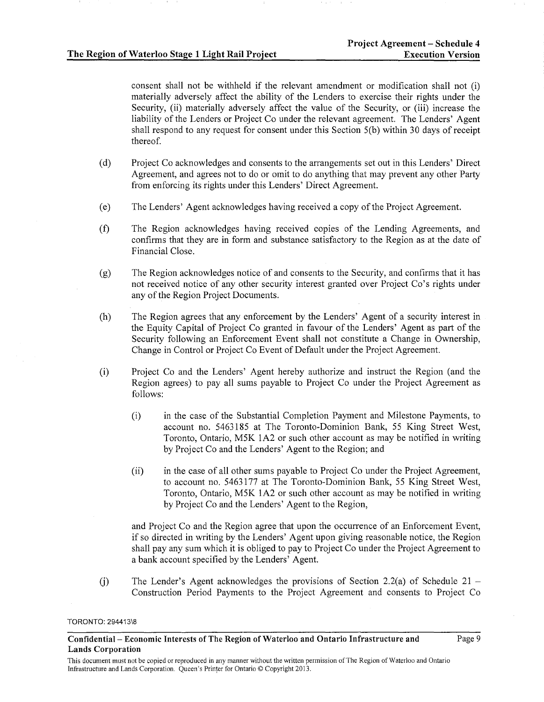consent shall not be withheld if the relevant amendment or modification shall not (i) materially adversely affect the ability of the Lenders to exercise their rights under the Security, (ii) materially adversely affect the value of the Security, or (iii) increase the liability of the Lenders or Project Co under the relevant agreement. The Lenders' Agent shall respond to any request for consent under this Section 5(b) within 30 days of receipt thereof.

- (d) Project Co acknowledges and consents to the arrangements set out in this Lenders' Direct Agreement, and agrees not to do or omit to do anything that may prevent any other Party from enforcing its rights under this Lenders' Direct Agreement.
- (e) The Lenders' Agent acknowledges having received a copy of the Project Agreement.
- (f) The Region acknowledges having received copies of the Lending Agreements, and confirms that they are in form and substance satisfactory to the Region as at the date of Financial Close.
- (g) The Region acknowledges notice of and consents to the Security, and confinns that it has not received notice of any other security interest granted over Project Co's rights under any of the Region Project Documents.
- (h) The Region agrees that any enforcement by the Lenders' Agent of a security interest in the Equity Capital of Project Co granted in favour of the Lenders' Agent as part of the Security following an Enforcement Event shall not constitute a Change in Ownership, Change in Control or Project Co Event of Default under the Project Agreement.
- (i) Project Co and the Lenders' Agent hereby authorize and instruct the Region (and the Region agrees) to pay all sums payable to Project Co under the Project Agreement as follows:
	- (i) in the case of the Substantial Completion Payment and Milestone Payments, to account no. 5463185 at The Toronto-Dominion Bank, 55 King Street West, Toronto, Ontario, M5K 1A2 or such other account as may be notified in writing by Project Co and the Lenders' Agent to the Region; and
	- (ii) in the case of all other sums payable to Project Co under the Project Agreement, to account no. 5463177 at The Toronto-Dominion Bank, 55 King Street West, Toronto, Ontario, M5K 1A2 or such other account as may be notified in writing by Project Co and the Lenders' Agent to the Region,

and Project Co and the Region agree that upon the occurrence of an Enforcement Event, if so directed in writing by the Lenders' Agent upon giving reasonable notice, the Region shall pay any sum which it is obliged to pay to Project Co under the Project Agreement to a bank account specified by the Lenders' Agent.

(j) The Lender's Agent acknowledges the provisions of Section 2.2(a) of Schedule  $21 -$ Construction Period Payments to the Project Agreement and consents to Project Co

TORONTO: 294413\8

Confidential- Economic Interests of The Region of Waterloo and Ontario Infrastructure and Lands Corporation

Page 9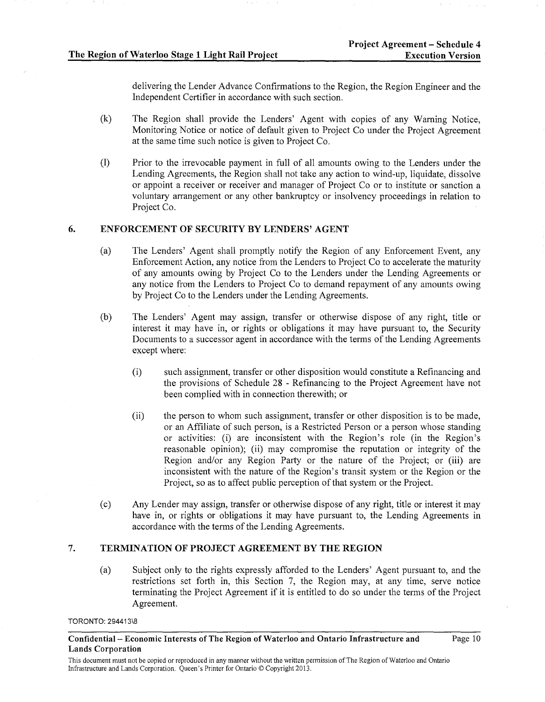Page 10

delivering the Lender Advance Confirmations to the Region, the Region Engineer and the Independent Certifier in accordance with such section.

- (k) The Region shall provide the Lenders' Agent with copies of any Warning Notice, Monitoring Notice or notice of default given to Project Co under the Project Agreement at the same time such notice is given to Project Co.
- (1) Prior to the irrevocable payment in full of all amounts owing to the Lenders under the Lending Agreements, the Region shall not take any action to wind-up, liquidate, dissolve or appoint a receiver or receiver and manager of Project Co or to institute or sanction a voluntary arrangement or any other bankruptcy or insolvency proceedings in relation to Project Co.

# 6. ENFORCEMENT OF SECURITY BY LENDERS' AGENT

- (a) The Lenders' Agent shall promptly notify the Region of any Enforcement Event, any Enforcement Action, any notice from the Lenders to Project Co to accelerate the maturity of any amounts owing by Project Co to the Lenders under the Lending Agreements or any notice from the Lenders to Project Co to demand repayment of any amounts owing by Project Co to the Lenders under the Lending Agreements.
- (b) The Lenders' Agent may assign, transfer or otherwise dispose of any right, title or interest it may have in, or rights or obligations it may have pursuant to, the Security Documents to a successor agent in accordance with the terms of the Lending Agreements except where:
	- (i) such assignment, transfer or other disposition would constitute a Refinancing and the provisions of Schedule 28 - Refinancing to the Project Agreement have not been complied with in connection therewith; or
	- (ii) the person to whom such assignment, transfer or other disposition is to be made, or an Affiliate of such person, is a Restricted Person or a person whose standing or activities: (i) are inconsistent with the Region's role (in the Region's reasonable opinion); (ii) may compromise the reputation or integrity of the Region and/or any Region Party or the nature of the Project; or (iii) are inconsistent with the nature of the Region's transit system or the Region or the Project, so as to affect public perception of that system or the Project.
- (c) Any Lender may assign, transfer or otherwise dispose of any right, title or interest it may have in, or rights or obligations it may have pursuant to, the Lending Agreements in accordance with the terms of the Lending Agreements.

# 7. TERMINATION OF PROJECT AGREEMENT BY THE REGION

(a) Subject only to the rights expressly afforded to the Lenders' Agent pursuant to, and the restrictions set forth in, this Section 7, the Region may, at any time, serve notice terminating the Project Agreement if it is entitled to do so under the terms of the Project Agreement.

Confidential- Economic Interests of The Region of Waterloo and Ontario Infrastructure and Lands Corporation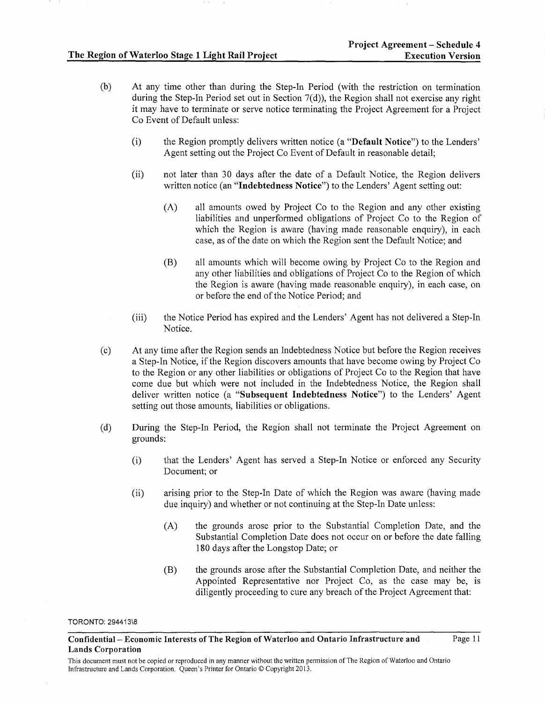- (b) At any time other than during the Step-In Period (with the restriction on termination during the Step-In Period set out in Section 7(d)), the Region shall not exercise any right it may have to terminate or serve notice terminating the Project Agreement for a Project Co Event of Default unless:
	- (i) the Region promptly delivers written notice (a "Default Notice") to the Lenders' Agent setting out the Project Co Event of Default in reasonable detail;
	- (ii) not later than 30 days after the date of a Default Notice, the Region delivers written notice (an "Indebtedness Notice") to the Lenders' Agent setting out:
		- (A) all amounts owed by Project Co to the Region and any other existing liabilities and unperformed obligations of Project Co to the Region of which the Region is aware (having made reasonable enquiry), in each case, as of the date on which the Region sent the Default Notice; and
		- (B) all amounts which will become owing by Project Co to the Region and any other liabilities and obligations of Project Co to the Region of which the Region is aware (having made reasonable enquiry), in each case, on or before the end of the Notice Period; and
	- (iii) the Notice Period has expired and the Lenders' Agent has not delivered a Step-In Notice.
- (c) At any time after the Region sends an Indebtedness Notice but before the Region receives a Step-In Notice, if the Region discovers amounts that have become owing by Project Co to the Region or any other liabilities or obligations of Project Co to the Region that have come due but which were not included in the Indebtedness Notice, the Region shall deliver written notice (a "Subsequent Indebtedness Notice") to the Lenders' Agent setting out those amounts, liabilities or obligations.
- (d) During the Step-In Period, the Region shall not terminate the Project Agreement on grounds:
	- (i) that the Lenders' Agent has served a Step-In Notice or enforced any Security Document; or
	- (ii) arising prior to the Step-In Date of which the Region was aware (having made due inquiry) and whether or not continuing at the Step-In Date unless:
		- (A) the grounds arose prior to the Substantial Completion Date, and the Substantial Completion Date does not occur on or before the date falling 180 days· after the Longstop Date; or
		- (B) the grounds arose after the Substantial Completion Date, and neither the Appointed Representative nor Project Co, as the case may be, is diligently proceeding to cure any breach of the Project Agreement that:

Confidential- Economic Interests of The Region of Waterloo and Ontario Infrastructure and Lands Corporation Page 11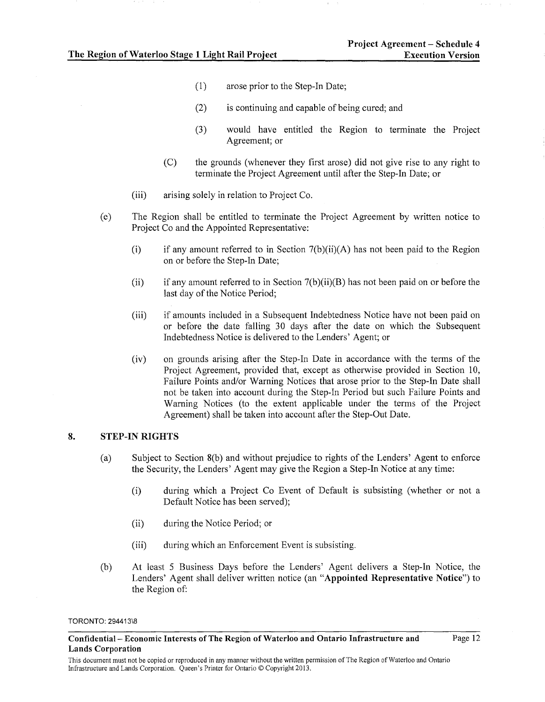- (1) arose prior to the Step-In Date;
- (2) is continuing and capable of being cured; and
- (3) would have entitled the Region to terminate the Project Agreement; or
- (C) the grounds (whenever they first arose) did not give rise to any right to terminate the Project Agreement until after the Step-In Date; or
- (iii) arising solely in relation to Project Co.
- (e) The Region shall be entitled to terminate the Project Agreement by written notice to Project Co and the Appointed Representative:
	- (i) if any amount referred to in Section  $7(b)(ii)(A)$  has not been paid to the Region on or before the Step-In Date;
	- (ii) if any amount referred to in Section  $7(b)(ii)(B)$  has not been paid on or before the last day of the Notice Period;
	- (iii) if amounts included in a Subsequent Indebtedness Notice have not been paid on or before the date falling 30 days after the date on which the Subsequent Indebtedness Notice is delivered to the Lenders' Agent; or
	- (iv) on grounds arising after the Step-In Date in accordance with the tenns of the Project Agreement, provided that, except as otherwise provided in Section 10, Failure Points and/or Warning Notices that arose prior to the Step-In Date shall not be taken into account during the Step-In Period but such Failure Points and Warning Notices (to the extent applicable under the terms of the Project Agreement) shall be taken into account after the Step-Out Date.

# 8. STEP-IN RIGHTS

- (a) Subject to Section 8(b) and without prejudice to rights of the Lenders' Agent to enforce the Security, the Lenders' Agent may give the Region a Step-In Notice at any time:
	- (i) during which a Project Co Event of Default is subsisting (whether or not a Default Notice has been served);
	- (ii) during the Notice Period; or
	- (iii) during which an Enforcement Event is subsisting.
- (b) At least 5 Business Days before the Lenders' Agent delivers a Step-In Notice, the Lenders' Agent shall deliver written notice (an "Appointed Representative Notice") to the Region of:

TORONTO: 294413\8

Confidential- Economic Interests of The Region of Waterloo and Ontario Infrastructure and Lands Corporation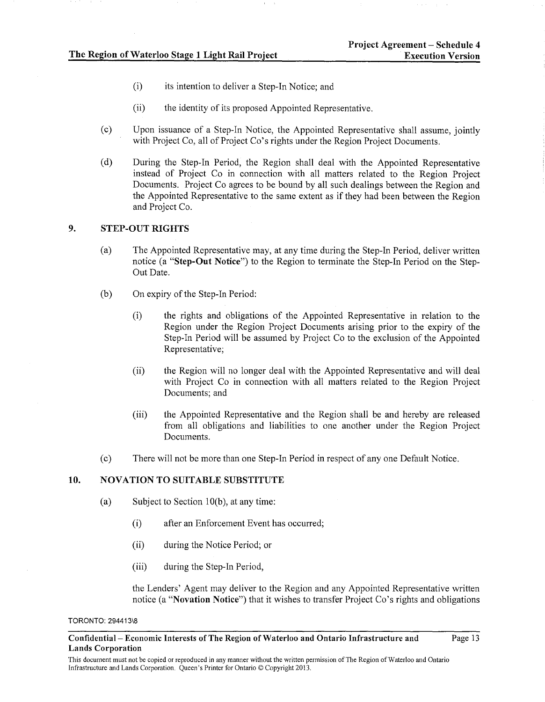- (i) its intention to deliver a Step-In Notice; and
- (ii) the identity of its proposed Appointed Representative.
- (c) Upon issuance of a Step-In Notice, the Appointed Representative shall assume, jointly with Project Co, all of Project Co's rights under the Region Project Documents.
- (d) During the Step-In Period, the Region shall deal with the Appointed Representative instead of Project Co in connection with all matters related to the Region Project Documents. Project Co agrees to be bound by all such dealings between the Region and the Appointed Representative to the same extent as if they had been between the Region and Project Co.

### 9. STEP-OUT RIGHTS

- (a) The Appointed Representative may, at any time during the Step-In Period, deliver written notice (a "Step-Out Notice") to the Region to terminate the Step-In Period on the Step-Out Date.
- (b) On expiry of the Step-In Period:
	- (i) the rights and obligations of the Appointed Representative in relation to the Region under the Region Project Documents arising prior to the expiry of the Step-In Period will be assumed by Project Co to the exclusion of the Appointed Representative;
	- (ii) the Region will no longer deal with the Appointed Representative and will deal with Project Co in connection with all matters related to the Region Project Documents; and
	- (iii) the Appointed Representative and the Region shall be and hereby are released from all obligations and liabilities to one another under the Region Project Documents.
- (c) There will not be more than one Step-In Period in respect of any one Default Notice.

## 10. NOVATION TO SUITABLE SUBSTITUTE

- (a) Subject to Section 10(b), at any time:
	- (i) after an Enforcement Event has occurred;
	- (ii) during the Notice Period; or
	- (iii) during the Step-In Period,

the Lenders' Agent may deliver to the Region and any Appointed Representative written notice (a "Novation Notice") that it wishes to transfer Project Co's rights and obligations

Confidential- Economic Interests of The Region of Waterloo and Ontario Infrastructure and Lands Corporation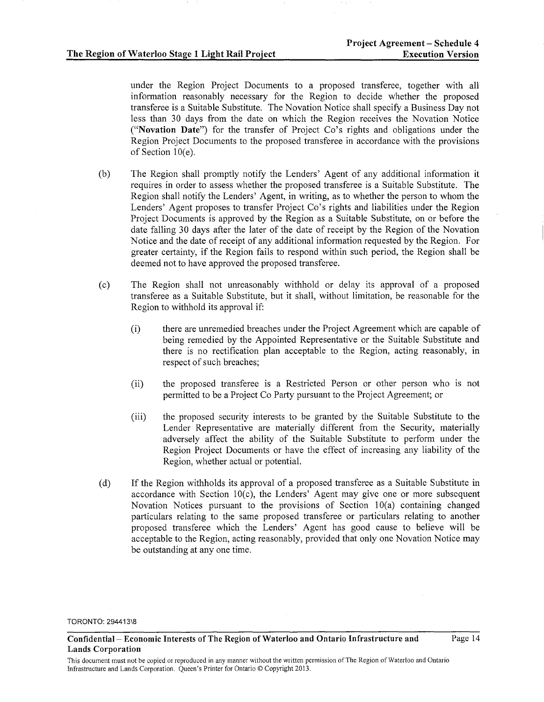under the Region Project Documents to a proposed transferee, together with all information reasonably necessary for the Region to decide whether the proposed transferee is a Suitable Substitute. The Novation Notice shall specify a Business Day not less than 30 days from the date on which the Region receives the Novation Notice ("Novation Date") for the transfer of Project Co's rights and obligations under the Region Project Documents to the proposed transferee in accordance with the provisions of Section 10(e).

- (b) The Region shall promptly notify the Lenders' Agent of any additional information it requires in order to assess whether the proposed transferee is a Suitable Substitute. The Region shall notify the Lenders' Agent, in writing, as to whether the person to whom the Lenders' Agent proposes to transfer Project Co's rights and liabilities under the Region Project Documents is approved by the Region as a Suitable Substitute, on or before the date falling 30 days after the later of the date of receipt by the Region of the Novation Notice and the date of receipt of any additional information requested by the Region. For greater certainty, if the Region fails to respond within such period, the Region shall be deemed not to have approved the proposed transferee.
- (c) The Region shall not unreasonably withhold or delay its approval of a proposed transferee as a Suitable Substitute, but it shall, without limitation, be reasonable for the Region to withhold its approval if:
	- (i) there are unremedied breaches under the Project Agreement which are capable of being remedied by the Appointed Representative or the Suitable Substitute and there is no rectification plan acceptable to the Region, acting reasonably, in respect of such breaches;
	- (ii) the proposed transferee is a Restricted Person or other person who 1s not permitted to be a Project Co Party pursuant to the Project Agreement; or
	- (iii) the proposed security interests to be granted by the Suitable Substitute to the Lender Representative are materially different from the Security, materially adversely affect the ability of the Suitable Substitute to perform under the Region Project Documents or have the effect of increasing any liability of the Region, whether actual or potential.
- (d) If the Region withholds its approval of a proposed transferee as a Suitable Substitute in accordance with Section  $10(c)$ , the Lenders' Agent may give one or more subsequent Novation Notices pursuant to the provisions of Section 10(a) containing changed particulars relating to the same proposed transferee or particulars relating to another proposed transferee which the Lenders' Agent has good cause to believe will be acceptable to the Region, acting reasonably, provided that only one Novation Notice may be outstanding at any one time.

TORONTO: 294413\8

Confidential- Economic Interests of The Region of Waterloo and Ontario Infrastructure and Lands Corporation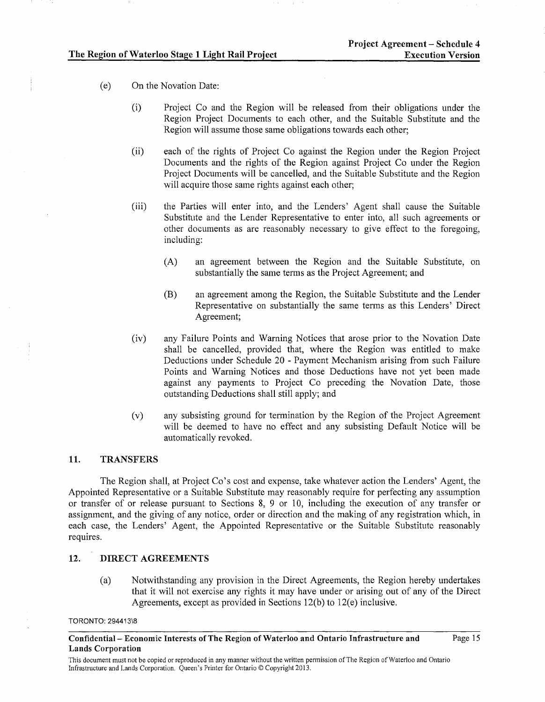- (e) On the Novation Date:
	- (i) Project Co and the Region will be released from their obligations under the Region Project Documents to each other, and the Suitable Substitute and the Region will assume those same obligations towards each other;
	- (ii) each of the rights of Project Co against the Region under the Region Project Documents and the rights of the Region against Project Co under the Region Project Documents will be cancelled, and the Suitable Substitute and the Region will acquire those same rights against each other;
	- (iii) the Parties will enter into, and the Lenders' Agent shall cause the Suitable Substitute and the Lender Representative to enter into, all such agreements or other documents as are reasonably necessary to give effect to the foregoing, including:
		- (A) an agreement between the Region and the Suitable Substitute, on substantially the same terms as the Project Agreement; and
		- (B) an agreement among the Region, the Suitable Substitute and the Lender Representative on substantially the same terms as this Lenders' Direct Agreement;
	- (iv) any Failure Points and Warning Notices that arose prior to the Novation Date shall be cancelled, provided that, where the Region was entitled to make Deductions under Schedule 20 - Payment Mechanism arising from such Failure Points and Warning Notices and those Deductions have not yet been made against any payments to Project Co preceding the Novation Date, those outstanding Deductions shall still apply; and
	- (v) any subsisting ground for termination by the Region of the Project Agreement will be deemed to have no effect and any subsisting Default Notice will be automatically revoked.

### 11. TRANSFERS

The Region shall, at Project Co's cost and expense, take whatever action the Lenders' Agent, the Appointed Representative or a Suitable Substitute may reasonably require for perfecting any assumption or transfer of or release pursuant to Sections 8, 9 or 10, including the execution of any transfer or assignment, and the giving of any notice, order or direction and the making of any registration which, in each case, the Lenders' Agent, the Appointed Representative or the Suitable Substitute reasonably requires.

## 12. DIRECT AGREEMENTS

(a) Notwithstanding any provision in the Direct Agreements, the Region hereby undertakes that it will not exercise any rights it may have under or arising out of any of the Direct Agreements, except as provided in Sections 12(b) to 12(e) inclusive.

Confidential- Economic Interests of The Region of Waterloo and Ontario Infrastructure and Lands Corporation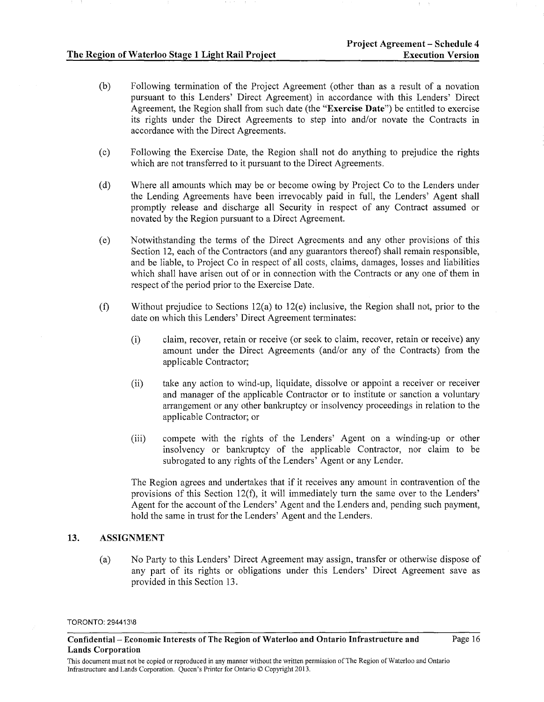- (b) Following termination of the Project Agreement (other than as a result of a novation pursuant to this Lenders' Direct Agreement) in accordance with this Lenders' Direct Agreement, the Region shall from such date (the "Exercise Date") be entitled to exercise its rights under the Direct Agreements to step into and/or novate the Contracts in accordance with the Direct Agreements.
- (c) Fallowing the Exercise Date, the Region shall not do anything to prejudice the rights which are not transferred to it pursuant to the Direct Agreements.
- (d) Where all amounts which may be or become owing by Project Co to the Lenders under the Lending Agreements have been irrevocably paid in full, the Lenders' Agent shall promptly release and discharge all Security in respect of any Contract assumed or novated by the Region pursuant to a Direct Agreement.
- (e) Notwithstanding the terms of the Direct Agreements and any other provisions of this Section 12, each of the Contractors (and any guarantors thereof) shall remain responsible, and be liable, to Project Co in respect of all costs, claims, damages, losses and liabilities which shall have arisen out of or in connection with the Contracts or any one of them in respect of the period prior to the Exercise Date.
- (f) Without prejudice to Sections l2(a) to 12(e) inclusive, the Region shall not, prior to the date on which this Lenders' Direct Agreement terminates:
	- (i) claim, recover, retain or receive (or seek to claim, recover, retain or receive) any amount under the Direct Agreements (and/or any of the Contracts) from the applicable Contractor;
	- (ii) take any action to wind-up, liquidate, dissolve or appoint a receiver or receiver and manager of the applicable Contractor or to institute or sanction a voluntary arrangement or any other bankruptcy or insolvency proceedings in relation to the applicable Contractor; or
	- (iii) compete with the rights of the Lenders' Agent on a winding-up or other insolvency or bankruptcy of the applicable Contractor, nor claim to be subrogated to any rights of the Lenders' Agent or any Lender.

The Region agrees and undertakes that if it receives any amount in contravention of the provisions of this Section 12(f), it will immediately turn the same over to the Lenders' Agent for the account of the Lenders' Agent and the Lenders and, pending such payment, hold the same in trust for the Lenders' Agent and the Lenders.

# 13. ASSIGNMENT

(a) No Party to this Lenders' Direct Agreement may assign, transfer or otherwise dispose of any part of its rights or obligations under this Lenders' Direct Agreement save as provided in this Section 13.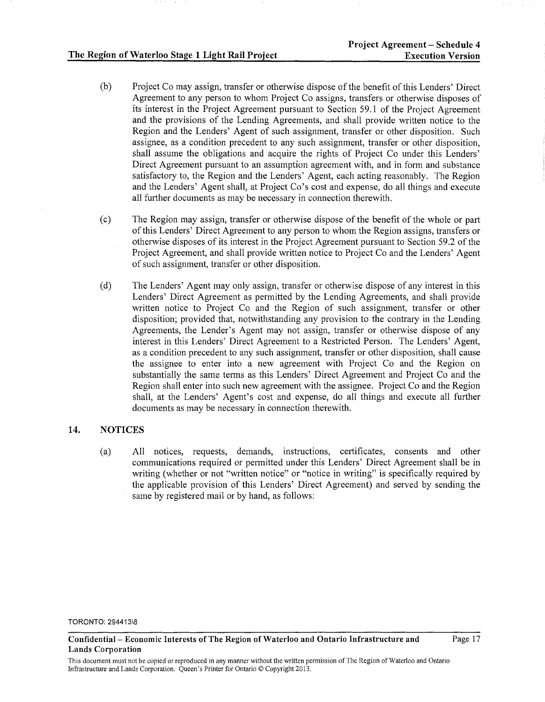- (b) Project Co may assign, transfer or otherwise dispose of the benefit of this Lenders' Direct Agreement to any person to whom Project Co assigns, transfers or otherwise disposes of its interest in the Project Agreement pursuant to Section 59.1 of the Project Agreement and the provisions of the Lending Agreements, and shall provide written notice to the Region and the Lenders' Agent of such assignment, transfer or other disposition. Such assignee, as a condition precedent to any such assignment, transfer or other disposition, shall assume the obligations and acquire the rights of Project Co under this Lenders' Direct Agreement pursuant to an assumption agreement with, and in form and substance satisfactory to, the Region and the Lenders' Agent, each acting reasonably. The Region and the Lenders' Agent shall, at Project Co's cost and expense, do all things and execute all further documents as may be necessary in connection therewith.
- (c) The Region may assign, transfer or otherwise dispose of the benefit of the whole or part of this Lenders' Direct Agreement to any person to whom the Region assigns, transfers or otherwise disposes of its interest in the Project Agreement pursuant to Section 59.2 of the Project Agreement, and shall provide written notice to Project Co and the Lenders' Agent of such assignment, transfer or other disposition.
- (d) The Lenders' Agent may only assign, transfer or otherwise dispose of any interest in this Lenders' Direct Agreement as permitted by the Lending Agreements, and shall provide written notice to Project Co and the Region of such assignment, transfer or other disposition; provided that, notwithstanding any provision to the contrary in the Lending Agreements, the Lender's Agent may not assign, transfer or otherwise dispose of any interest in this Lenders' Direct Agreement to a Restricted Person. The Lenders' Agent, as a condition precedent to any such assignment, transfer or other disposition, shall cause the assignee to enter into a new agreement with Project Co and the Region on substantially the same terms as this Lenders' Direct Agreement and Project Co and the Region shall enter into such new agreement with the assignee. Project Co and the Region shall, at the Lenders' Agent's cost and expense, do all things and execute all further documents as may be necessary in connection therewith.

# 14. NOTICES

(a) All notices, requests, demands, instructions, certificates, consents and other communications required or permitted under this Lenders' Direct Agreement shall be in writing (whether or not "written notice" or "notice in writing" is specifically required by the applicable provision of this Lenders' Direct Agreement) and served by sending the same by registered mail or by hand, as follows:

Confidential- Economic Interests of The Region of Waterloo and Ontario Infrastructure and Lands Corporation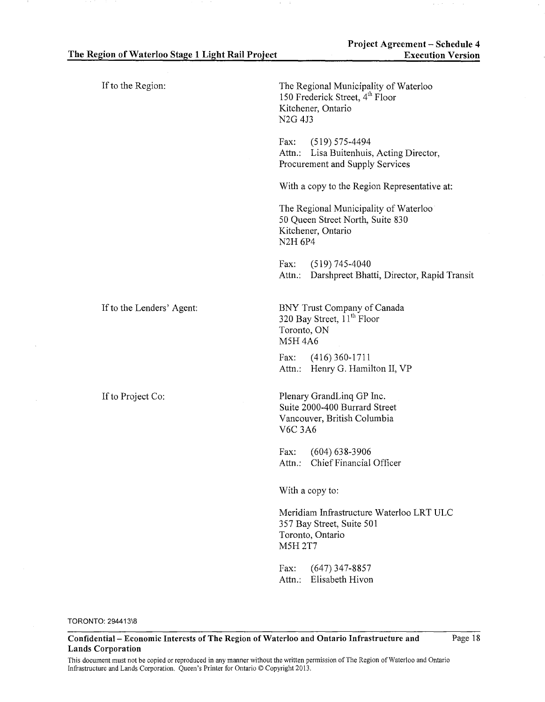| If to the Region:         | The Regional Municipality of Waterloo<br>150 Frederick Street, 4 <sup>th</sup> Floor<br>Kitchener, Ontario<br>N <sub>2G</sub> 4J <sub>3</sub> |
|---------------------------|-----------------------------------------------------------------------------------------------------------------------------------------------|
|                           | $(519) 575 - 4494$<br>Fax:<br>Attn.: Lisa Buitenhuis, Acting Director,<br>Procurement and Supply Services                                     |
|                           | With a copy to the Region Representative at:                                                                                                  |
|                           | The Regional Municipality of Waterloo<br>50 Queen Street North, Suite 830<br>Kitchener, Ontario<br><b>N2H 6P4</b>                             |
|                           | Fax:<br>$(519)$ 745-4040<br>Darshpreet Bhatti, Director, Rapid Transit<br>Attn.:                                                              |
| If to the Lenders' Agent: | BNY Trust Company of Canada<br>320 Bay Street, $11^{th}$ Floor<br>Toronto, ON<br><b>M5H 4A6</b>                                               |
|                           | $(416)$ 360-1711<br>Fax:<br>Attn.: Henry G. Hamilton II, VP                                                                                   |
| If to Project Co:         | Plenary GrandLinq GP Inc.<br>Suite 2000-400 Burrard Street<br>Vancouver, British Columbia<br><b>V6C 3A6</b>                                   |
|                           | $(604) 638 - 3906$<br>Fax:<br>Chief Financial Officer<br>Attn.:                                                                               |
|                           | With a copy to:                                                                                                                               |
|                           | Meridiam Infrastructure Waterloo LRT ULC<br>357 Bay Street, Suite 501<br>Toronto, Ontario<br><b>M5H 2T7</b>                                   |
|                           | $(647)$ 347-8857<br>Fax:<br>Elisabeth Hivon<br>Attn.:                                                                                         |

 $\lambda$ 

Confidential- Economic Interests of The Region of Waterloo and Ontario Infrastructure and Lands Corporation

Page 18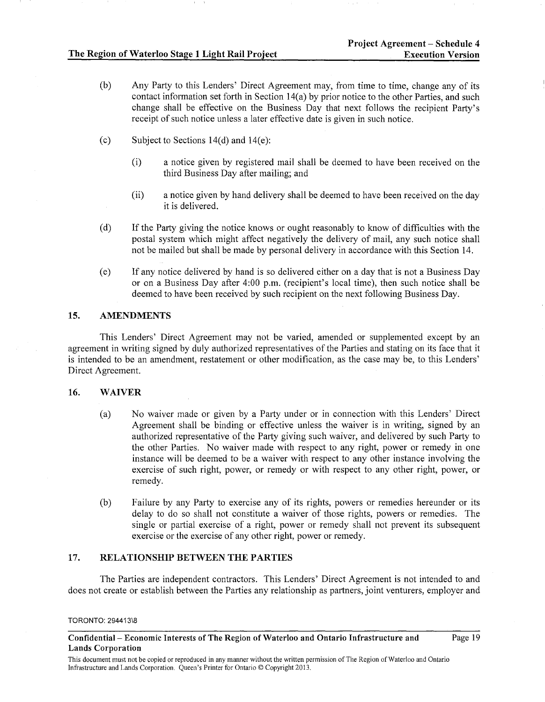- (b) Any Party to this Lenders' Direct Agreement may, from time to time, change any of its contact information set forth in Section 14(a) by prior notice to the other Parties, and such change shall be effective on the Business Day that next follows the recipient Party's receipt of such notice unless a later effective date is given in such notice.
- (c) Subject to Sections  $14(d)$  and  $14(e)$ :
	- (i) a notice given by registered mail shall be deemed to have been received on the third Business Day after mailing; and
	- (ii) a notice given by hand delivery shall be deemed to have been received on the day it is delivered.
- (d) If the Party giving the notice knows or ought reasonably to know of difficulties with the postal system which might affect negatively the delivery of mail, any such notice shall not be mailed but shall be made by personal delivery in accordance with this Section 14.
- (e) If any notice delivered by hand is so delivered either on a day that is not a Business Day or on a Business Day after 4:00 p.m. (recipient's local time), then such notice shall be deemed to have been received by such recipient on the next following Business Day.

## 15. AMENDMENTS

This Lenders' Direct Agreement may not be varied, amended or supplemented except by an agreement in writing signed by duly authorized representatives of the Parties and stating on its face that it is intended to be an amendment, restatement or other modification, as the case may be, to this Lenders' Direct Agreement.

## 16. WAIVER

- (a) No waiver made or given by a Party under or in connection with this Lenders' Direct Agreement shall be binding or effective unless the waiver is in writing, signed by an authorized representative of the Party giving such waiver, and delivered by such Party to the other Parties. No waiver made with respect to any right, power or remedy in one instance will be deemed to be a waiver with respect to any other instance involving the exercise of such right, power, or remedy or with respect to any other right, power, or remedy.
- (b) Failure by any Party to exercise any of its rights, powers or remedies hereunder or its delay to do so shall not constitute a waiver of those rights, powers or remedies. The single or partial exercise of a right, power or remedy shall not prevent its subsequent exercise or the exercise of any other right, power or remedy.

## 17. RELATIONSHIP BETWEEN THE PARTIES

The Parties are independent contractors. This Lenders' Direct Agreement is not intended to and does not create or establish between the Parties any relationship as partners, joint venturers, employer and

Confidential- Economic Interests of The Region of Waterloo and Ontario Infrastructure and Lands Corporation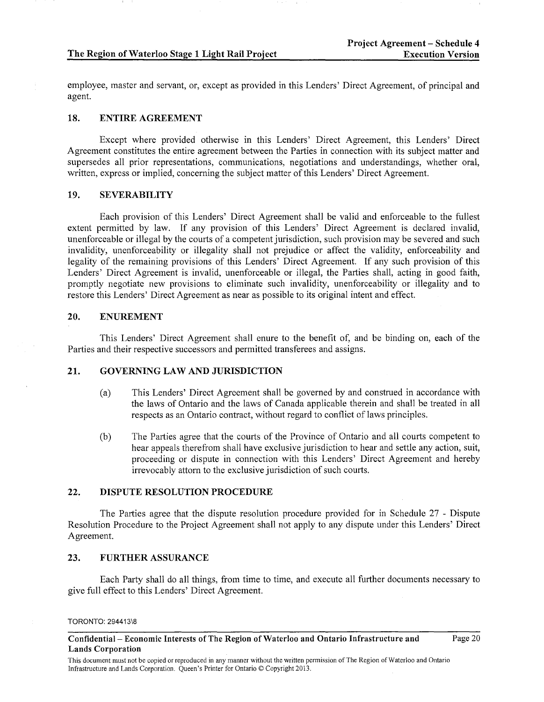#### **The Region of Waterloo Stage 1 Light Rail Project**

employee, master and servant, or, except as provided in this Lenders' Direct Agreement, of principal and agent.

#### **18. ENTIRE AGREEMENT**

Except where provided otherwise in this Lenders' Direct Agreement, this Lenders' Direct Agreement constitutes the entire agreement between the Parties in connection with its subject matter and supersedes all prior representations, communications, negotiations and understandings, whether oral, written, express or implied, concerning the subject matter of this Lenders' Direct Agreement.

## **19. SEVERABILITY**

Each provision of this Lenders' Direct Agreement shall be valid and enforceable to the fullest extent permitted by law. If any provision of this Lenders' Direct Agreement is declared invalid, unenforceable or illegal by the courts of a competent jurisdiction, such provision may be severed and such invalidity, unenforceability or illegality shall not prejudice or affect the validity, enforceability and legality of the remaining provisions of this Lenders' Direct Agreement. If any such provision of this Lenders' Direct Agreement is invalid, unenforceable or illegal, the Parties shall, acting in good faith, promptly negotiate new provisions to eliminate such invalidity, unenforceability or illegality and to restore this Lenders' Direct Agreement as near as possible to its original intent and effect.

### **20. ENUREMENT**

This Lenders' Direct Agreement shall enure to the benefit of, and be binding on, each of the Parties and their respective successors and permitted transferees and assigns.

## **21. GOVERNING LAW AND JURISDICTION**

- (a) This Lenders' Direct Agreement shall be governed by and construed in accordance with the laws of Ontario and the laws of Canada applicable therein and shall be treated in all respects as an Ontario contract, without regard to conflict of laws principles.
- (b) The Parties agree that the courts of the Province of Ontario and all courts competent to hear appeals therefrom shall have exclusive jurisdiction to hear and settle any action, suit, proceeding or dispute in connection with this Lenders' Direct Agreement and hereby irrevocably attorn to the exclusive jurisdiction of such courts.

## **22. DISPUTE RESOLUTION PROCEDURE**

The Parties agree that the dispute resolution procedure provided for in Schedule 27 - Dispute Resolution Procedure to the Project Agreement shall not apply to any dispute under this Lenders' Direct Agreement.

### **23. FURTHER ASSURANCE**

Each Party shall do all things, from time to time, and execute all further documents necessary to give full effect to this Lenders' Direct Agreement.

TORONTO: 294413\8

Page 20

**Confidential- Economic Interests of The Region of Waterloo and Ontario Infrastructure and Lands Corporation**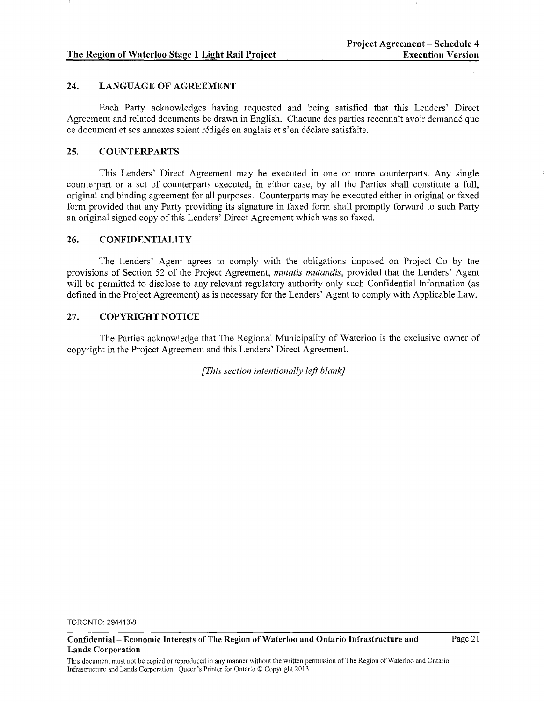#### The Region of Waterloo Stage 1 Light Rail Project

## 24. LANGUAGE OF AGREEMENT

Each Party acknowledges having requested and being satisfied that this Lenders' Direct Agreement and related documents be drawn in English. Chacune des parties reconnait avoir demande que ce document et ses annexes soient rediges en anglais et s'en declare satisfaite.

#### 25. COUNTERPARTS

This Lenders' Direct Agreement may be executed in one or more counterparts. Any single counterpart or a set of counterparts executed, in either case, by all the Parties shall constitute a full, original and binding agreement for all purposes. Counterparts may be executed either in original or faxed form provided that any Party providing its signature in faxed form shall promptly forward to such Party an original signed copy of this Lenders' Direct Agreement which was so faxed.

# 26. CONFIDENTIALITY

The Lenders' Agent agrees to comply with the obligations imposed on Project Co by the provisions of Section 52 of the Project Agreement, *mutatis mutandis,* provided that the Lenders' Agent will be permitted to disclose to any relevant regulatory authority only such Confidential Information (as defined in the Project Agreement) as is necessary for the Lenders' Agent to comply with Applicable Law.

## 27. COPYRIGHT NOTICE

The Parties acknowledge that The Regional Municipality of Waterloo is the exclusive owner of copyright in the Project Agreement and this Lenders' Direct Agreement.

*[This section intentionally left blank]* 

TORONTO: 294413\8

This document must not be copied or reproduced in any manner without the written permission of The Region of Waterloo and Ontario Infrastructure and Lands Corporation. Queen's Printer for Ontario© Copyright 2013.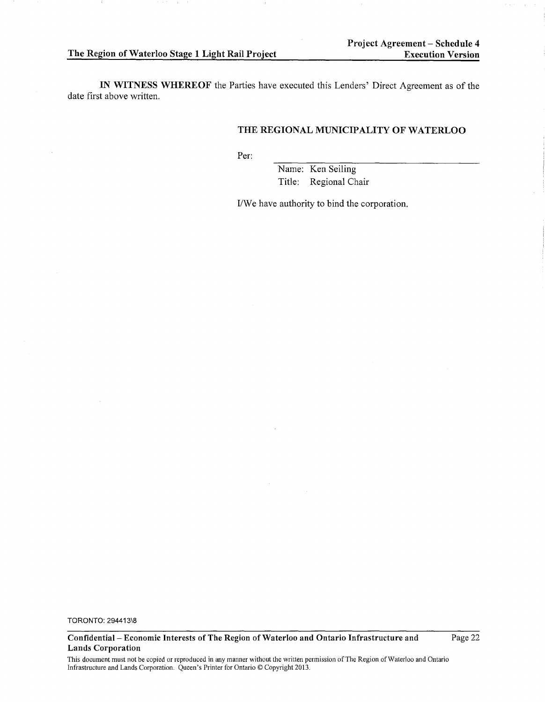Page 22

IN WITNESS WHEREOF the Parties have executed this Lenders' Direct Agreement as of the date first above written.

# THE REGIONAL MUNICIPALITY OF WATERLOO

Per:

Name: Ken Seiling Title: Regional Chair

I/We have authority to bind the corporation.

TORONTO: 294413\8

Confidential- Economic Interests of The Region of Waterloo and Ontario Infrastructure and Lands Corporation

This document must not be copied or reproduced in any manner without the written permission of The Region of Waterloo and Ontario Infrastructure and Lands Corporation. Queen's Printer for Ontario© Copyright 2013.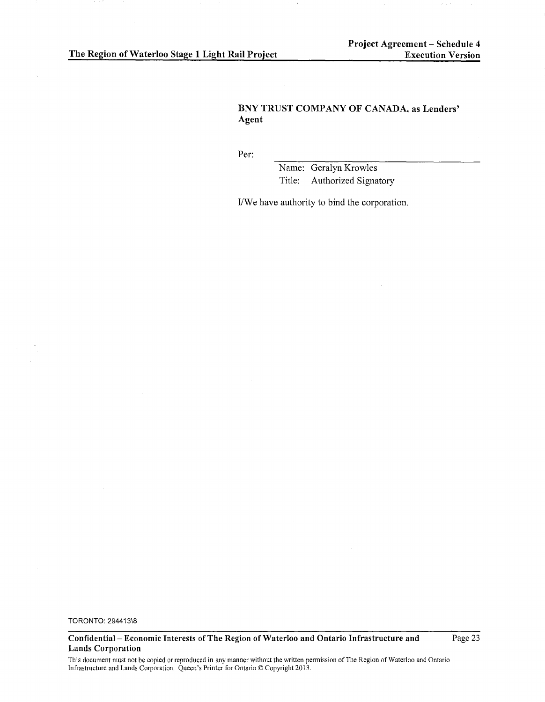# **BNY TRUST COMPANY OF CANADA, as Lenders' Agent**

Per:

Name: Geralyn Krowles Title: Authorized Signatory

*VWe* have authority to bind the corporation.

TORONTO: 294413\8

 $\alpha$ 

**Confidential- Economic Interests of The Region of Waterloo and Ontario Infrastructure and Lands Corporation** 

Page 23

This document must not be copied or reproduced in any manner without the written permission of The Region of Waterloo and Ontario Infrastructure and Lands Corporation. Queen's Printer for Ontario © Copyright 2013.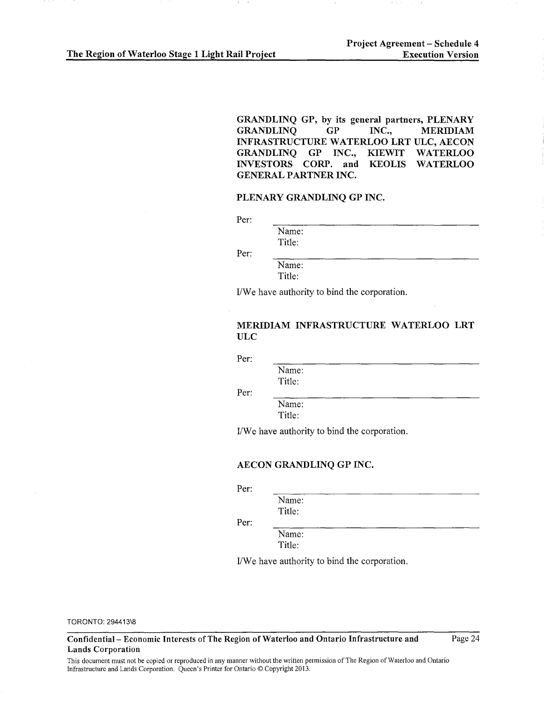GRANDLINQ GP, by its general partners, PLENARY<br>GRANDLINO GP INC.. MERIDIAM GRANDLINO INFRASTRUCTURE WATERLOO LRT ULC, AECON GRANDLINQ GP INC., KIEWIT WATERLOO<br>INVESTORS CORP. and KEOLIS WATERLOO INVESTORS CORP. and KEOLIS GENERAL PARTNER INC.

### PLENARY GRANDLINQ GP INC.

Per:

Per:

Name: Title:

Name: Title:

I/We have authority to bind the corporation.

## MERIDIAM INFRASTRUCTURE WATERLOO LRT ULC

Per:

Name: Title:

Per:

Name: Title:

I/We have authority to bind the corporation.

### AECON GRANDLINQ GP INC.

Per:

Name: Title:

Per:

Name: Title:

I/We have authority to bind the corporation.

TORONTO: 294413\8

Confidential- Economic Interests of The Region of Waterloo and Ontario Infrastructure and Lands Corporation

Page 24